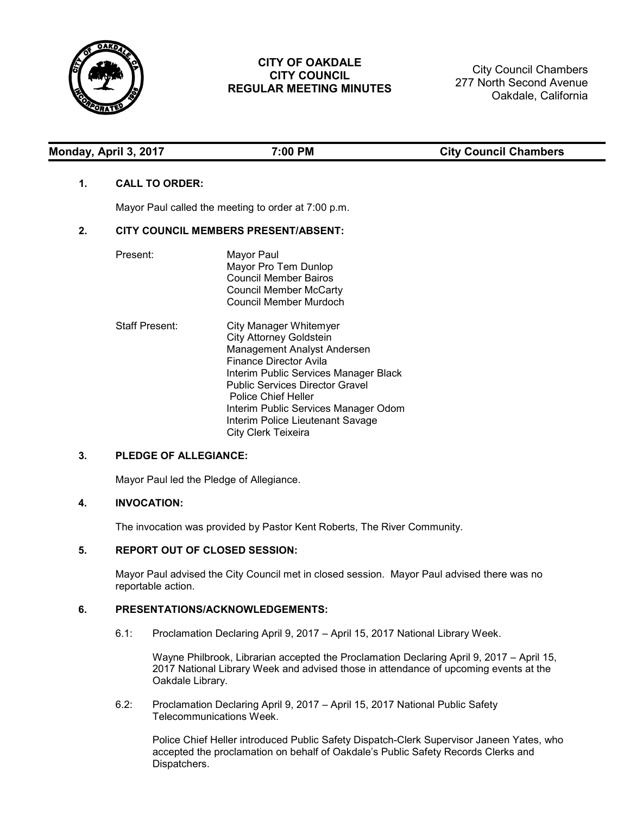

# **CITY OF OAKDALE CITY COUNCIL REGULAR MEETING MINUTES**

City Council Chambers 277 North Second Avenue Oakdale, California

| Monday, April 3, 2017 | 7:00 PM | <b>City Council Chambers</b> |
|-----------------------|---------|------------------------------|
|                       |         |                              |
|                       |         |                              |

## **1. CALL TO ORDER:**

Mayor Paul called the meeting to order at 7:00 p.m.

### **2. CITY COUNCIL MEMBERS PRESENT/ABSENT:**

| Present:              | Mayor Paul<br>Mayor Pro Tem Dunlop<br>Council Member Bairos<br><b>Council Member McCarty</b><br>Council Member Murdoch                                                                                                                                                                                                                |
|-----------------------|---------------------------------------------------------------------------------------------------------------------------------------------------------------------------------------------------------------------------------------------------------------------------------------------------------------------------------------|
| <b>Staff Present:</b> | City Manager Whitemyer<br><b>City Attorney Goldstein</b><br>Management Analyst Andersen<br>Finance Director Avila<br>Interim Public Services Manager Black<br><b>Public Services Director Gravel</b><br><b>Police Chief Heller</b><br>Interim Public Services Manager Odom<br>Interim Police Lieutenant Savage<br>City Clerk Teixeira |

## **3. PLEDGE OF ALLEGIANCE:**

Mayor Paul led the Pledge of Allegiance.

### **4. INVOCATION:**

The invocation was provided by Pastor Kent Roberts, The River Community.

## **5. REPORT OUT OF CLOSED SESSION:**

Mayor Paul advised the City Council met in closed session. Mayor Paul advised there was no reportable action.

## **6. PRESENTATIONS/ACKNOWLEDGEMENTS:**

6.1: Proclamation Declaring April 9, 2017 – April 15, 2017 National Library Week.

Wayne Philbrook, Librarian accepted the Proclamation Declaring April 9, 2017 – April 15, 2017 National Library Week and advised those in attendance of upcoming events at the Oakdale Library.

6.2: Proclamation Declaring April 9, 2017 – April 15, 2017 National Public Safety Telecommunications Week.

Police Chief Heller introduced Public Safety Dispatch-Clerk Supervisor Janeen Yates, who accepted the proclamation on behalf of Oakdale's Public Safety Records Clerks and Dispatchers.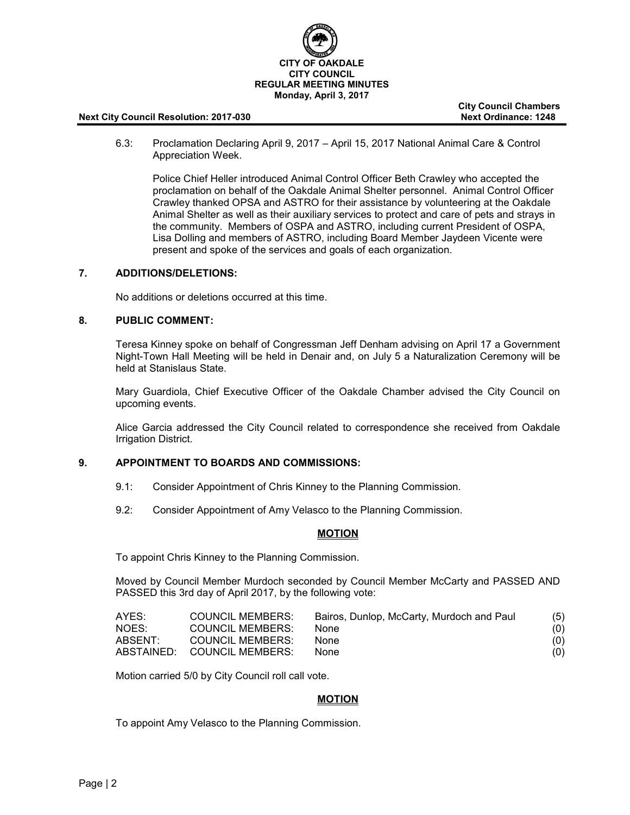

**City Council Chambers**

6.3: Proclamation Declaring April 9, 2017 – April 15, 2017 National Animal Care & Control Appreciation Week.

Police Chief Heller introduced Animal Control Officer Beth Crawley who accepted the proclamation on behalf of the Oakdale Animal Shelter personnel. Animal Control Officer Crawley thanked OPSA and ASTRO for their assistance by volunteering at the Oakdale Animal Shelter as well as their auxiliary services to protect and care of pets and strays in the community. Members of OSPA and ASTRO, including current President of OSPA, Lisa Dolling and members of ASTRO, including Board Member Jaydeen Vicente were present and spoke of the services and goals of each organization.

## **7. ADDITIONS/DELETIONS:**

No additions or deletions occurred at this time.

### **8. PUBLIC COMMENT:**

Teresa Kinney spoke on behalf of Congressman Jeff Denham advising on April 17 a Government Night-Town Hall Meeting will be held in Denair and, on July 5 a Naturalization Ceremony will be held at Stanislaus State.

Mary Guardiola, Chief Executive Officer of the Oakdale Chamber advised the City Council on upcoming events.

Alice Garcia addressed the City Council related to correspondence she received from Oakdale Irrigation District.

### **9. APPOINTMENT TO BOARDS AND COMMISSIONS:**

- 9.1: Consider Appointment of Chris Kinney to the Planning Commission.
- 9.2: Consider Appointment of Amy Velasco to the Planning Commission.

#### **MOTION**

To appoint Chris Kinney to the Planning Commission.

Moved by Council Member Murdoch seconded by Council Member McCarty and PASSED AND PASSED this 3rd day of April 2017, by the following vote:

| AYES:   | <b>COUNCIL MEMBERS:</b>     | Bairos, Dunlop, McCarty, Murdoch and Paul | (5) |
|---------|-----------------------------|-------------------------------------------|-----|
| NOES:   | COUNCIL MEMBERS:            | <b>None</b>                               | (0) |
| ABSENT: | <b>COUNCIL MEMBERS:</b>     | <b>None</b>                               | (0) |
|         | ABSTAINED: COUNCIL MEMBERS: | <b>None</b>                               | (0) |

Motion carried 5/0 by City Council roll call vote.

### **MOTION**

To appoint Amy Velasco to the Planning Commission.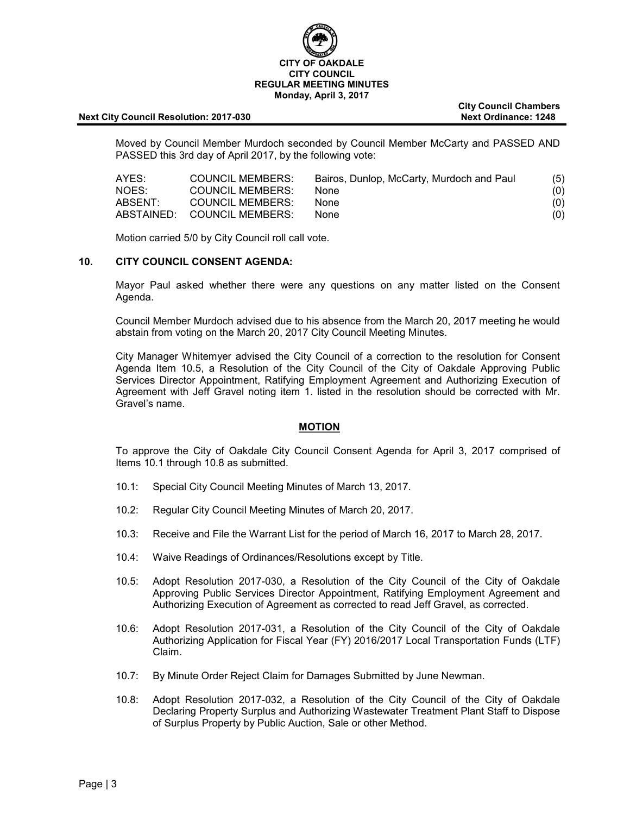

**City Council Chambers**

Moved by Council Member Murdoch seconded by Council Member McCarty and PASSED AND PASSED this 3rd day of April 2017, by the following vote:

| AYES:   | COUNCIL MEMBERS:            | Bairos, Dunlop, McCarty, Murdoch and Paul | (5) |
|---------|-----------------------------|-------------------------------------------|-----|
| NOES:   | <b>COUNCIL MEMBERS:</b>     | <b>None</b>                               | (0) |
| ABSENT: | COUNCIL MEMBERS:            | None.                                     | (0) |
|         | ABSTAINED: COUNCIL MEMBERS: | <b>None</b>                               | (0) |

Motion carried 5/0 by City Council roll call vote.

## **10. CITY COUNCIL CONSENT AGENDA:**

Mayor Paul asked whether there were any questions on any matter listed on the Consent Agenda.

Council Member Murdoch advised due to his absence from the March 20, 2017 meeting he would abstain from voting on the March 20, 2017 City Council Meeting Minutes.

City Manager Whitemyer advised the City Council of a correction to the resolution for Consent Agenda Item 10.5, a Resolution of the City Council of the City of Oakdale Approving Public Services Director Appointment, Ratifying Employment Agreement and Authorizing Execution of Agreement with Jeff Gravel noting item 1. listed in the resolution should be corrected with Mr. Gravel's name.

#### **MOTION**

To approve the City of Oakdale City Council Consent Agenda for April 3, 2017 comprised of Items 10.1 through 10.8 as submitted.

- 10.1: Special City Council Meeting Minutes of March 13, 2017.
- 10.2: Regular City Council Meeting Minutes of March 20, 2017.
- 10.3: Receive and File the Warrant List for the period of March 16, 2017 to March 28, 2017.
- 10.4: Waive Readings of Ordinances/Resolutions except by Title.
- 10.5: Adopt Resolution 2017-030, a Resolution of the City Council of the City of Oakdale Approving Public Services Director Appointment, Ratifying Employment Agreement and Authorizing Execution of Agreement as corrected to read Jeff Gravel, as corrected.
- 10.6: Adopt Resolution 2017-031, a Resolution of the City Council of the City of Oakdale Authorizing Application for Fiscal Year (FY) 2016/2017 Local Transportation Funds (LTF) Claim.
- 10.7: By Minute Order Reject Claim for Damages Submitted by June Newman.
- 10.8: Adopt Resolution 2017-032, a Resolution of the City Council of the City of Oakdale Declaring Property Surplus and Authorizing Wastewater Treatment Plant Staff to Dispose of Surplus Property by Public Auction, Sale or other Method.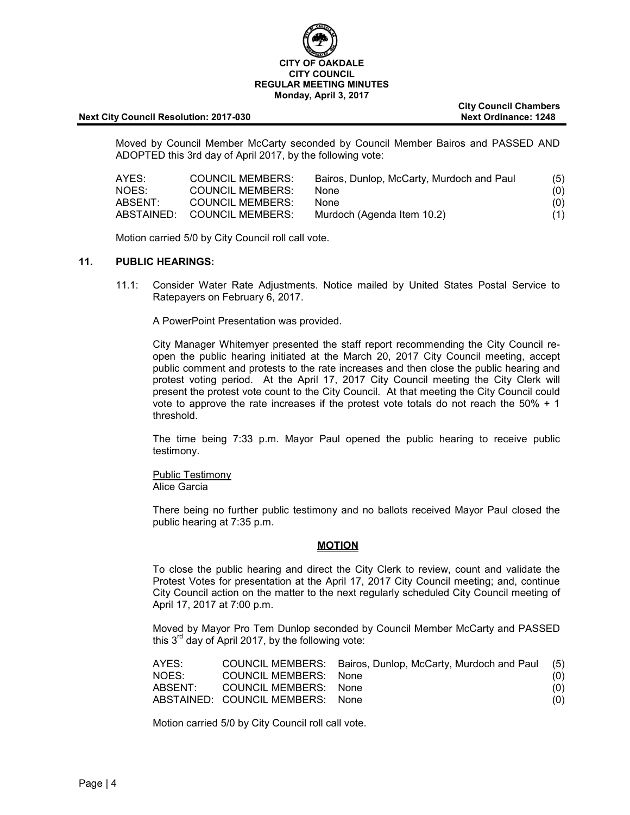

**City Council Chambers**

Moved by Council Member McCarty seconded by Council Member Bairos and PASSED AND ADOPTED this 3rd day of April 2017, by the following vote:

| AYES:   | COUNCIL MEMBERS:            | Bairos, Dunlop, McCarty, Murdoch and Paul | (5) |
|---------|-----------------------------|-------------------------------------------|-----|
| NOES:   | COUNCIL MEMBERS:            | <b>None</b>                               | (0) |
| ABSENT: | COUNCIL MEMBERS:            | None.                                     | (0) |
|         | ABSTAINED: COUNCIL MEMBERS: | Murdoch (Agenda Item 10.2)                | (1) |

Motion carried 5/0 by City Council roll call vote.

#### **11. PUBLIC HEARINGS:**

11.1: Consider Water Rate Adjustments. Notice mailed by United States Postal Service to Ratepayers on February 6, 2017.

A PowerPoint Presentation was provided.

City Manager Whitemyer presented the staff report recommending the City Council reopen the public hearing initiated at the March 20, 2017 City Council meeting, accept public comment and protests to the rate increases and then close the public hearing and protest voting period. At the April 17, 2017 City Council meeting the City Clerk will present the protest vote count to the City Council. At that meeting the City Council could vote to approve the rate increases if the protest vote totals do not reach the 50% + 1 threshold.

The time being 7:33 p.m. Mayor Paul opened the public hearing to receive public testimony.

Public Testimony Alice Garcia

There being no further public testimony and no ballots received Mayor Paul closed the public hearing at 7:35 p.m.

#### **MOTION**

To close the public hearing and direct the City Clerk to review, count and validate the Protest Votes for presentation at the April 17, 2017 City Council meeting; and, continue City Council action on the matter to the next regularly scheduled City Council meeting of April 17, 2017 at 7:00 p.m.

Moved by Mayor Pro Tem Dunlop seconded by Council Member McCarty and PASSED this  $3<sup>rd</sup>$  day of April 2017, by the following vote:

| AYES: |                                  | COUNCIL MEMBERS: Bairos, Dunlop, McCarty, Murdoch and Paul (5) |     |
|-------|----------------------------------|----------------------------------------------------------------|-----|
| NOES: | COUNCIL MEMBERS: None            |                                                                | (0) |
|       | ABSENT: COUNCIL MEMBERS: None    |                                                                | (O) |
|       | ABSTAINED: COUNCIL MEMBERS: None |                                                                | (0) |

Motion carried 5/0 by City Council roll call vote.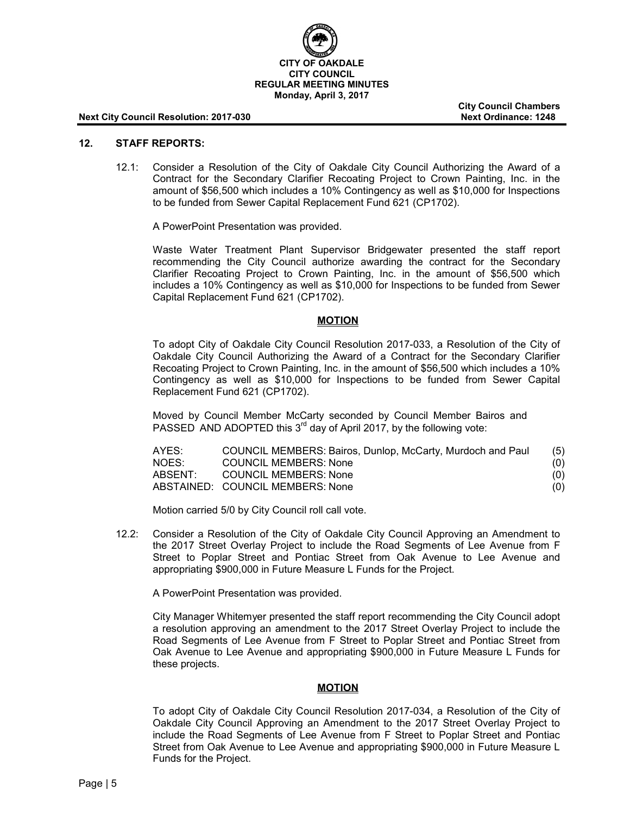

**City Council Chambers**

### **12. STAFF REPORTS:**

12.1: Consider a Resolution of the City of Oakdale City Council Authorizing the Award of a Contract for the Secondary Clarifier Recoating Project to Crown Painting, Inc. in the amount of \$56,500 which includes a 10% Contingency as well as \$10,000 for Inspections to be funded from Sewer Capital Replacement Fund 621 (CP1702).

A PowerPoint Presentation was provided.

Waste Water Treatment Plant Supervisor Bridgewater presented the staff report recommending the City Council authorize awarding the contract for the Secondary Clarifier Recoating Project to Crown Painting, Inc. in the amount of \$56,500 which includes a 10% Contingency as well as \$10,000 for Inspections to be funded from Sewer Capital Replacement Fund 621 (CP1702).

### **MOTION**

To adopt City of Oakdale City Council Resolution 2017-033, a Resolution of the City of Oakdale City Council Authorizing the Award of a Contract for the Secondary Clarifier Recoating Project to Crown Painting, Inc. in the amount of \$56,500 which includes a 10% Contingency as well as \$10,000 for Inspections to be funded from Sewer Capital Replacement Fund 621 (CP1702).

Moved by Council Member McCarty seconded by Council Member Bairos and PASSED AND ADOPTED this  $3<sup>rd</sup>$  day of April 2017, by the following vote:

| AYES:   | COUNCIL MEMBERS: Bairos, Dunlop, McCarty, Murdoch and Paul | (5) |
|---------|------------------------------------------------------------|-----|
| NOES:   | COUNCIL MEMBERS: None                                      | (0) |
| ABSENT: | COUNCIL MEMBERS: None                                      | (0) |
|         | ABSTAINED: COUNCIL MEMBERS: None                           | (0) |

Motion carried 5/0 by City Council roll call vote.

12.2: Consider a Resolution of the City of Oakdale City Council Approving an Amendment to the 2017 Street Overlay Project to include the Road Segments of Lee Avenue from F Street to Poplar Street and Pontiac Street from Oak Avenue to Lee Avenue and appropriating \$900,000 in Future Measure L Funds for the Project.

A PowerPoint Presentation was provided.

City Manager Whitemyer presented the staff report recommending the City Council adopt a resolution approving an amendment to the 2017 Street Overlay Project to include the Road Segments of Lee Avenue from F Street to Poplar Street and Pontiac Street from Oak Avenue to Lee Avenue and appropriating \$900,000 in Future Measure L Funds for these projects.

#### **MOTION**

To adopt City of Oakdale City Council Resolution 2017-034, a Resolution of the City of Oakdale City Council Approving an Amendment to the 2017 Street Overlay Project to include the Road Segments of Lee Avenue from F Street to Poplar Street and Pontiac Street from Oak Avenue to Lee Avenue and appropriating \$900,000 in Future Measure L Funds for the Project.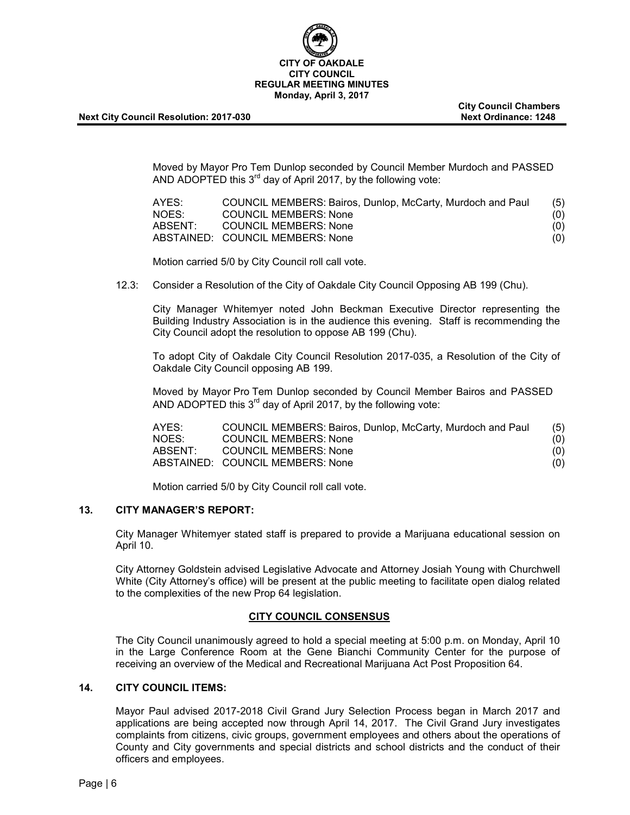

**City Council Chambers**

Moved by Mayor Pro Tem Dunlop seconded by Council Member Murdoch and PASSED AND ADOPTED this  $3<sup>rd</sup>$  day of April 2017, by the following vote:

| AYES:   | COUNCIL MEMBERS: Bairos, Dunlop, McCarty, Murdoch and Paul | (5) |
|---------|------------------------------------------------------------|-----|
| NOES:   | <b>COUNCIL MEMBERS: None</b>                               | (0) |
| ABSENT: | <b>COUNCIL MEMBERS: None</b>                               | (0) |
|         | ABSTAINED: COUNCIL MEMBERS: None                           | (0) |

Motion carried 5/0 by City Council roll call vote.

12.3: Consider a Resolution of the City of Oakdale City Council Opposing AB 199 (Chu).

City Manager Whitemyer noted John Beckman Executive Director representing the Building Industry Association is in the audience this evening. Staff is recommending the City Council adopt the resolution to oppose AB 199 (Chu).

To adopt City of Oakdale City Council Resolution 2017-035, a Resolution of the City of Oakdale City Council opposing AB 199.

Moved by Mayor Pro Tem Dunlop seconded by Council Member Bairos and PASSED AND ADOPTED this  $3<sup>rd</sup>$  day of April 2017, by the following vote:

| AYES:   | COUNCIL MEMBERS: Bairos, Dunlop, McCarty, Murdoch and Paul | (5) |
|---------|------------------------------------------------------------|-----|
| NOES:   | <b>COUNCIL MEMBERS: None</b>                               | (0) |
| ABSENT: | <b>COUNCIL MEMBERS: None</b>                               | (0) |
|         | ABSTAINED: COUNCIL MEMBERS: None                           | (0) |

Motion carried 5/0 by City Council roll call vote.

## **13. CITY MANAGER'S REPORT:**

City Manager Whitemyer stated staff is prepared to provide a Marijuana educational session on April 10.

City Attorney Goldstein advised Legislative Advocate and Attorney Josiah Young with Churchwell White (City Attorney's office) will be present at the public meeting to facilitate open dialog related to the complexities of the new Prop 64 legislation.

### **CITY COUNCIL CONSENSUS**

The City Council unanimously agreed to hold a special meeting at 5:00 p.m. on Monday, April 10 in the Large Conference Room at the Gene Bianchi Community Center for the purpose of receiving an overview of the Medical and Recreational Marijuana Act Post Proposition 64.

### **14. CITY COUNCIL ITEMS:**

Mayor Paul advised 2017-2018 Civil Grand Jury Selection Process began in March 2017 and applications are being accepted now through April 14, 2017. The Civil Grand Jury investigates complaints from citizens, civic groups, government employees and others about the operations of County and City governments and special districts and school districts and the conduct of their officers and employees.